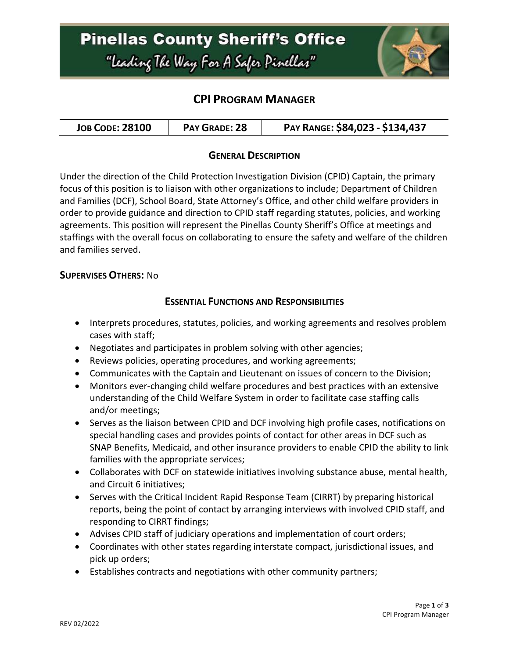

### **CPI PROGRAM MANAGER**

| <b>JOB CODE: 28100</b> | PAY GRADE: 28 | PAY RANGE: \$84,023 - \$134,437 |
|------------------------|---------------|---------------------------------|
|------------------------|---------------|---------------------------------|

#### **GENERAL DESCRIPTION**

Under the direction of the Child Protection Investigation Division (CPID) Captain, the primary focus of this position is to liaison with other organizations to include; Department of Children and Families (DCF), School Board, State Attorney's Office, and other child welfare providers in order to provide guidance and direction to CPID staff regarding statutes, policies, and working agreements. This position will represent the Pinellas County Sheriff's Office at meetings and staffings with the overall focus on collaborating to ensure the safety and welfare of the children and families served.

#### **SUPERVISES OTHERS:** No

### **ESSENTIAL FUNCTIONS AND RESPONSIBILITIES**

- Interprets procedures, statutes, policies, and working agreements and resolves problem cases with staff;
- Negotiates and participates in problem solving with other agencies;
- Reviews policies, operating procedures, and working agreements;
- Communicates with the Captain and Lieutenant on issues of concern to the Division;
- Monitors ever-changing child welfare procedures and best practices with an extensive understanding of the Child Welfare System in order to facilitate case staffing calls and/or meetings;
- Serves as the liaison between CPID and DCF involving high profile cases, notifications on special handling cases and provides points of contact for other areas in DCF such as SNAP Benefits, Medicaid, and other insurance providers to enable CPID the ability to link families with the appropriate services;
- Collaborates with DCF on statewide initiatives involving substance abuse, mental health, and Circuit 6 initiatives;
- Serves with the Critical Incident Rapid Response Team (CIRRT) by preparing historical reports, being the point of contact by arranging interviews with involved CPID staff, and responding to CIRRT findings;
- Advises CPID staff of judiciary operations and implementation of court orders;
- Coordinates with other states regarding interstate compact, jurisdictional issues, and pick up orders;
- Establishes contracts and negotiations with other community partners;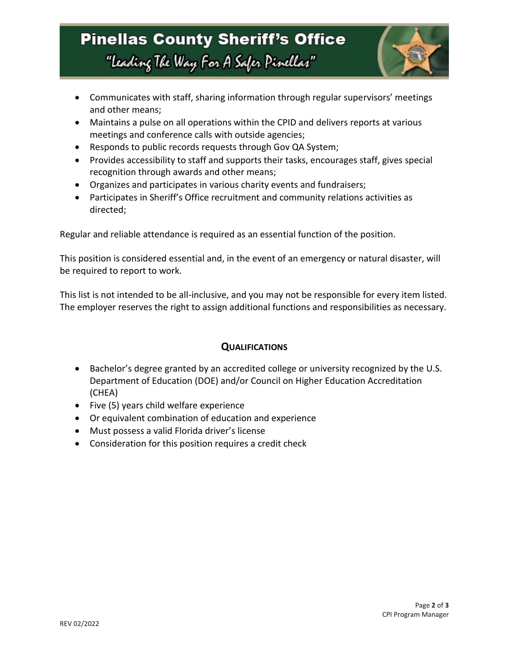# **Pinellas County Sheriff's Office** "Leading The Way For A Safer Pinellar"



- Communicates with staff, sharing information through regular supervisors' meetings and other means;
- Maintains a pulse on all operations within the CPID and delivers reports at various meetings and conference calls with outside agencies;
- Responds to public records requests through Gov QA System;
- Provides accessibility to staff and supports their tasks, encourages staff, gives special recognition through awards and other means;
- Organizes and participates in various charity events and fundraisers;
- Participates in Sheriff's Office recruitment and community relations activities as directed;

Regular and reliable attendance is required as an essential function of the position.

This position is considered essential and, in the event of an emergency or natural disaster, will be required to report to work.

This list is not intended to be all-inclusive, and you may not be responsible for every item listed. The employer reserves the right to assign additional functions and responsibilities as necessary.

### **QUALIFICATIONS**

- Bachelor's degree granted by an accredited college or university recognized by the U.S. Department of Education (DOE) and/or Council on Higher Education Accreditation (CHEA)
- Five (5) years child welfare experience
- Or equivalent combination of education and experience
- Must possess a valid Florida driver's license
- Consideration for this position requires a credit check